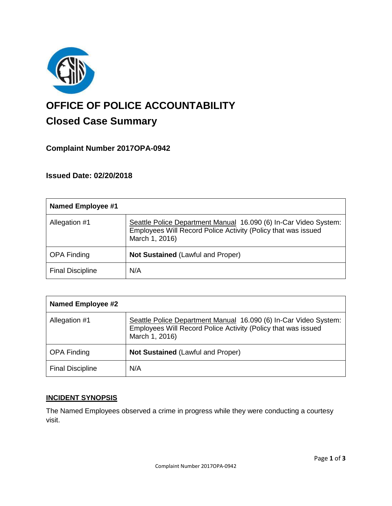

# **OFFICE OF POLICE ACCOUNTABILITY**

# **Closed Case Summary**

## **Complaint Number 2017OPA-0942**

## **Issued Date: 02/20/2018**

| <b>Named Employee #1</b> |                                                                                                                                                     |
|--------------------------|-----------------------------------------------------------------------------------------------------------------------------------------------------|
| Allegation #1            | Seattle Police Department Manual 16.090 (6) In-Car Video System:<br>Employees Will Record Police Activity (Policy that was issued<br>March 1, 2016) |
| <b>OPA Finding</b>       | <b>Not Sustained (Lawful and Proper)</b>                                                                                                            |
| <b>Final Discipline</b>  | N/A                                                                                                                                                 |

| <b>Named Employee #2</b> |                                                                                                                                                     |
|--------------------------|-----------------------------------------------------------------------------------------------------------------------------------------------------|
| Allegation #1            | Seattle Police Department Manual 16.090 (6) In-Car Video System:<br>Employees Will Record Police Activity (Policy that was issued<br>March 1, 2016) |
| <b>OPA Finding</b>       | <b>Not Sustained (Lawful and Proper)</b>                                                                                                            |
| <b>Final Discipline</b>  | N/A                                                                                                                                                 |

#### **INCIDENT SYNOPSIS**

The Named Employees observed a crime in progress while they were conducting a courtesy visit.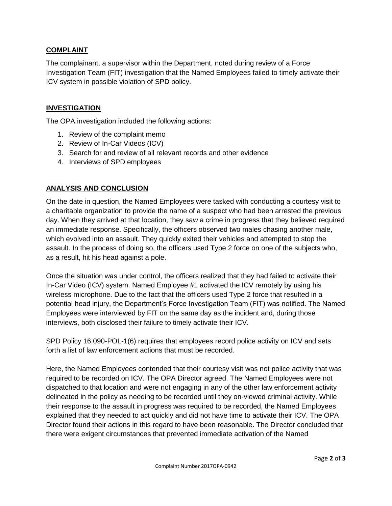#### **COMPLAINT**

The complainant, a supervisor within the Department, noted during review of a Force Investigation Team (FIT) investigation that the Named Employees failed to timely activate their ICV system in possible violation of SPD policy.

#### **INVESTIGATION**

The OPA investigation included the following actions:

- 1. Review of the complaint memo
- 2. Review of In-Car Videos (ICV)
- 3. Search for and review of all relevant records and other evidence
- 4. Interviews of SPD employees

#### **ANALYSIS AND CONCLUSION**

On the date in question, the Named Employees were tasked with conducting a courtesy visit to a charitable organization to provide the name of a suspect who had been arrested the previous day. When they arrived at that location, they saw a crime in progress that they believed required an immediate response. Specifically, the officers observed two males chasing another male, which evolved into an assault. They quickly exited their vehicles and attempted to stop the assault. In the process of doing so, the officers used Type 2 force on one of the subjects who, as a result, hit his head against a pole.

Once the situation was under control, the officers realized that they had failed to activate their In-Car Video (ICV) system. Named Employee #1 activated the ICV remotely by using his wireless microphone. Due to the fact that the officers used Type 2 force that resulted in a potential head injury, the Department's Force Investigation Team (FIT) was notified. The Named Employees were interviewed by FIT on the same day as the incident and, during those interviews, both disclosed their failure to timely activate their ICV.

SPD Policy 16.090-POL-1(6) requires that employees record police activity on ICV and sets forth a list of law enforcement actions that must be recorded.

Here, the Named Employees contended that their courtesy visit was not police activity that was required to be recorded on ICV. The OPA Director agreed. The Named Employees were not dispatched to that location and were not engaging in any of the other law enforcement activity delineated in the policy as needing to be recorded until they on-viewed criminal activity. While their response to the assault in progress was required to be recorded, the Named Employees explained that they needed to act quickly and did not have time to activate their ICV. The OPA Director found their actions in this regard to have been reasonable. The Director concluded that there were exigent circumstances that prevented immediate activation of the Named